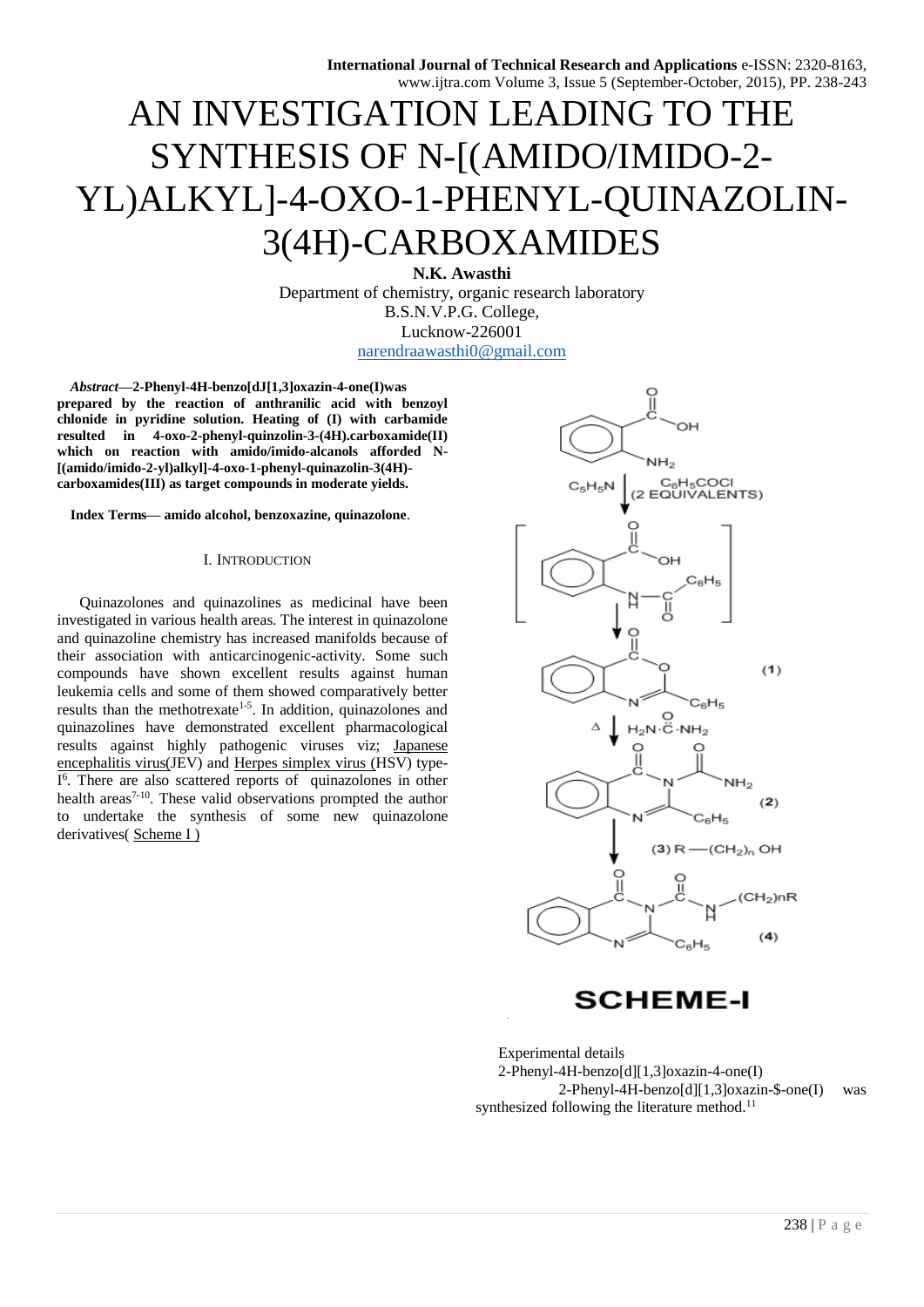# AN INVESTIGATION LEADING TO THE SYNTHESIS OF N-[(AMIDO/IMIDO-2- YL)ALKYL]-4-OXO-1-PHENYL-QUINAZOLIN-3(4H)-CARBOXAMIDES

**N.K. Awasthi** Department of chemistry, organic research laboratory B.S.N.V.P.G. College, Lucknow-226001 [narendraawasthi0@gmail.com](mailto:narendraawasthi0@gmail.com)

*Abstract***—2-Phenyl-4H-benzo[dJ[1,3]oxazin-4-one(I)was prepared by the reaction of anthranilic acid with benzoyl chlonide in pyridine solution. Heating of (I) with carbamide resulted in 4-oxo-2-phenyl-quinzolin-3-(4H).carboxamide(II) which on reaction with amido/imido-alcanols afforded N- [(amido/imido-2-yl)alkyl]-4-oxo-1-phenyl-quinazolin-3(4H) carboxamides(III) as target compounds in moderate yields.**

**Index Terms— amido alcohol, benzoxazine, quinazolone**.

#### I. INTRODUCTION

Quinazolones and quinazolines as medicinal have been investigated in various health areas. The interest in quinazolone and quinazoline chemistry has increased manifolds because of their association with anticarcinogenic-activity. Some such compounds have shown excellent results against human leukemia cells and some of them showed comparatively better results than the methotrexate<sup>1-5</sup>. In addition, quinazolones and quinazolines have demonstrated excellent pharmacological results against highly pathogenic viruses viz; Japanese encephalitis virus(JEV) and Herpes simplex virus (HSV) type-I<sup>6</sup>. There are also scattered reports of quinazolones in other health areas<sup>7-10</sup>. These valid observations prompted the author to undertake the synthesis of some new quinazolone derivatives( Scheme I )



**SCHEME-I** 

Experimental details 2-Phenyl-4H-benzo[d][1,3]oxazin-4-one(I) 2-Phenyl-4H-benzo[d][1,3]oxazin-\$-one(I) was synthesized following the literature method. $11$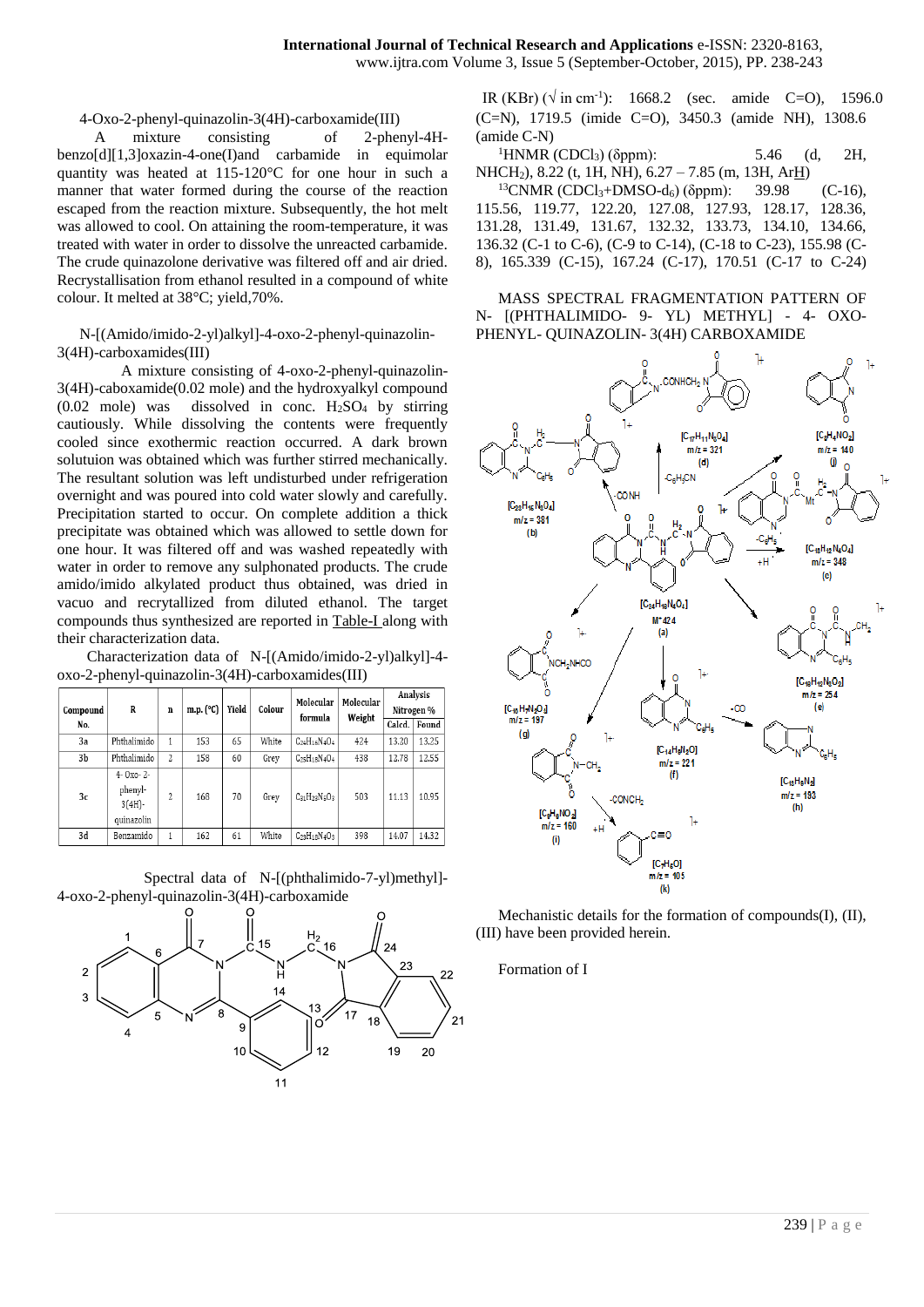4-Oxo-2-phenyl-quinazolin-3(4H)-carboxamide(III)

 A mixture consisting of 2-phenyl-4Hbenzo[d][1,3]oxazin-4-one(I)and carbamide in equimolar quantity was heated at 115-120°C for one hour in such a manner that water formed during the course of the reaction escaped from the reaction mixture. Subsequently, the hot melt was allowed to cool. On attaining the room-temperature, it was treated with water in order to dissolve the unreacted carbamide. The crude quinazolone derivative was filtered off and air dried. Recrystallisation from ethanol resulted in a compound of white colour. It melted at 38°C; yield,70%.

N-[(Amido/imido-2-yl)alkyl]-4-oxo-2-phenyl-quinazolin-3(4H)-carboxamides(III)

 A mixture consisting of 4-oxo-2-phenyl-quinazolin-3(4H)-caboxamide(0.02 mole) and the hydroxyalkyl compound  $(0.02 \text{ mole})$  was dissolved in conc.  $H_2SO_4$  by stirring cautiously. While dissolving the contents were frequently cooled since exothermic reaction occurred. A dark brown solutuion was obtained which was further stirred mechanically. The resultant solution was left undisturbed under refrigeration overnight and was poured into cold water slowly and carefully. Precipitation started to occur. On complete addition a thick precipitate was obtained which was allowed to settle down for one hour. It was filtered off and was washed repeatedly with water in order to remove any sulphonated products. The crude amido/imido alkylated product thus obtained, was dried in vacuo and recrytallized from diluted ethanol. The target compounds thus synthesized are reported in Table-I along with their characterization data.

 Characterization data of N-[(Amido/imido-2-yl)alkyl]-4 oxo-2-phenyl-quinazolin-3(4H)-carboxamides(III)

| Compound       | R                                                  | n                        | m.p. $(^{\circ}C)$ | Yield | Colour | Molecular<br>formula     | Molecular<br>Weight | Analysis<br>Nitrogen % |       |
|----------------|----------------------------------------------------|--------------------------|--------------------|-------|--------|--------------------------|---------------------|------------------------|-------|
| No.            |                                                    |                          |                    |       |        |                          |                     | Calcd.                 | Found |
| 3a             | Phthalimido                                        | 1                        | 153                | 65    | White  | $C_{24}H_{16}N_{4}O_4$   | 424                 | 13.20                  | 13.25 |
| 3b             | Phthalimido                                        | $\overline{\mathcal{L}}$ | 158                | 60    | Grey   | $C_{25}H_{18}N_{4}O_{4}$ | 438                 | 12.78                  | 12.55 |
| 3 <sub>c</sub> | $4 - 0x - 2$<br>phenyl-<br>$3(4H)$ -<br>quinazolin | 2                        | 168                | 70    | Grey   | $C_{31}H_{23}N_5O_3$     | 503                 | 11.13                  | 10.95 |
| 3d             | Benzamido                                          | 1                        | 162                | 61    | White  | $C_{23}H_{18}N_{4}O_{3}$ | 398                 | 14.07                  | 14.32 |

 Spectral data of N-[(phthalimido-7-yl)methyl]- 4-oxo-2-phenyl-quinazolin-3(4H)-carboxamide



IR (KBr) ( $\sqrt{ }$  in cm<sup>-1</sup>): 1668.2 (sec. amide C=O), 1596.0 (C=N), 1719.5 (imide C=O), 3450.3 (amide NH), 1308.6 (amide C-N)

<sup>1</sup>HNMR (CDCl<sub>3</sub>) (δppm): 5.46 (d, 2H, NHCH2), 8.22 (t, 1H, NH), 6.27 – 7.85 (m, 13H, ArH)

 $^{13}$ CNMR (CDCl<sub>3</sub>+DMSO-d<sub>6</sub>) (δppm): 39.98 (C-16), 115.56, 119.77, 122.20, 127.08, 127.93, 128.17, 128.36, 131.28, 131.49, 131.67, 132.32, 133.73, 134.10, 134.66, 136.32 (C-1 to C-6), (C-9 to C-14), (C-18 to C-23), 155.98 (C-8), 165.339 (C-15), 167.24 (C-17), 170.51 (C-17 to C-24)

MASS SPECTRAL FRAGMENTATION PATTERN OF N- [(PHTHALIMIDO- 9- YL) METHYL] - 4- OXO-PHENYL- QUINAZOLIN- 3(4H) CARBOXAMIDE



Mechanistic details for the formation of compounds(I), (II), (III) have been provided herein.

Formation of I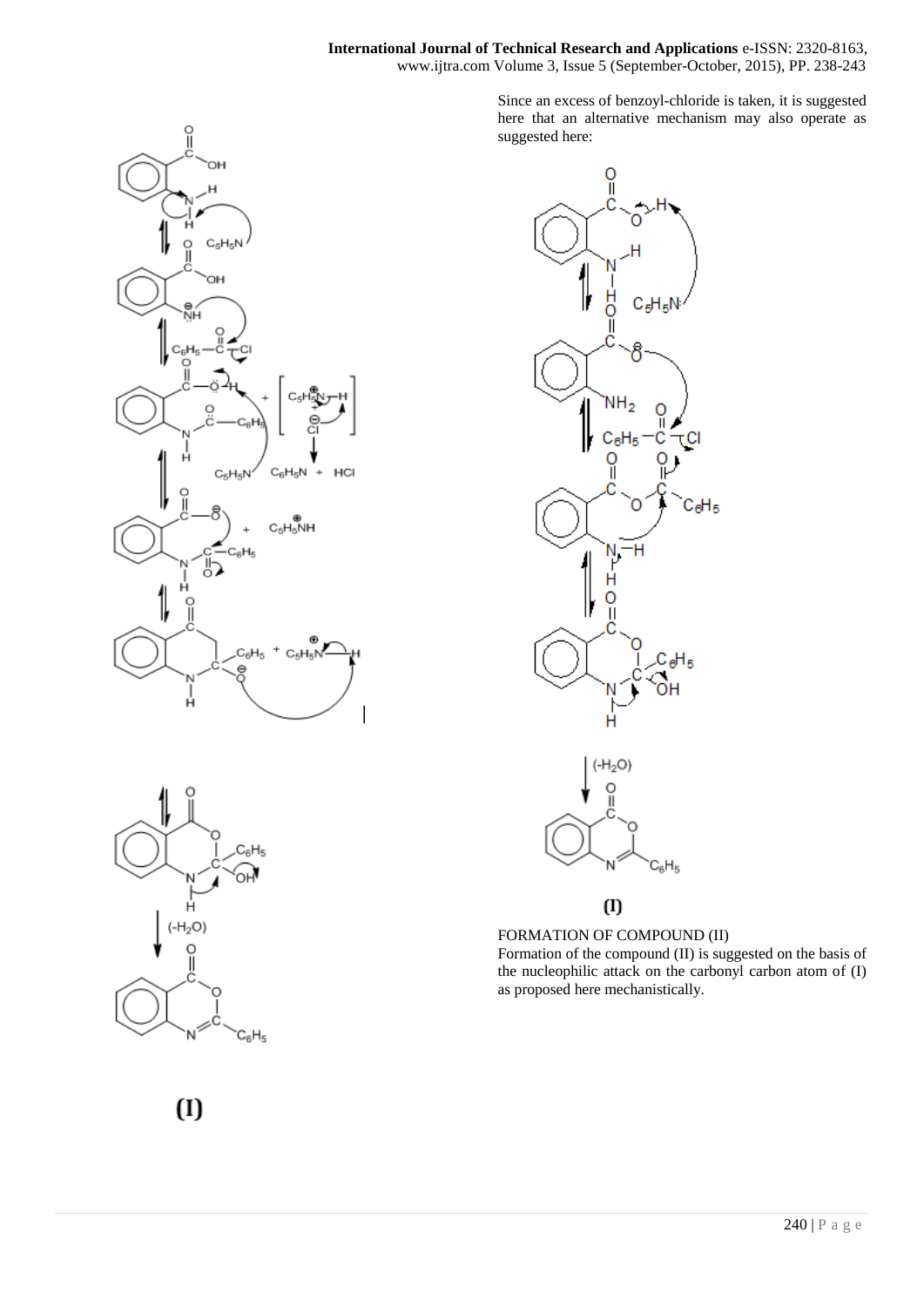

 $C_6H_5$ 

∕α

 $C_8H_5$ 

Since an excess of benzoyl-chloride is taken, it is suggested here that an alternative mechanism may also operate as suggested here:



## $(1)$

FORMATION OF COMPOUND (II) Formation of the compound (II) is suggested on the basis of the nucleophilic attack on the carbonyl carbon atom of (I) as proposed here mechanistically.



 $H_2O$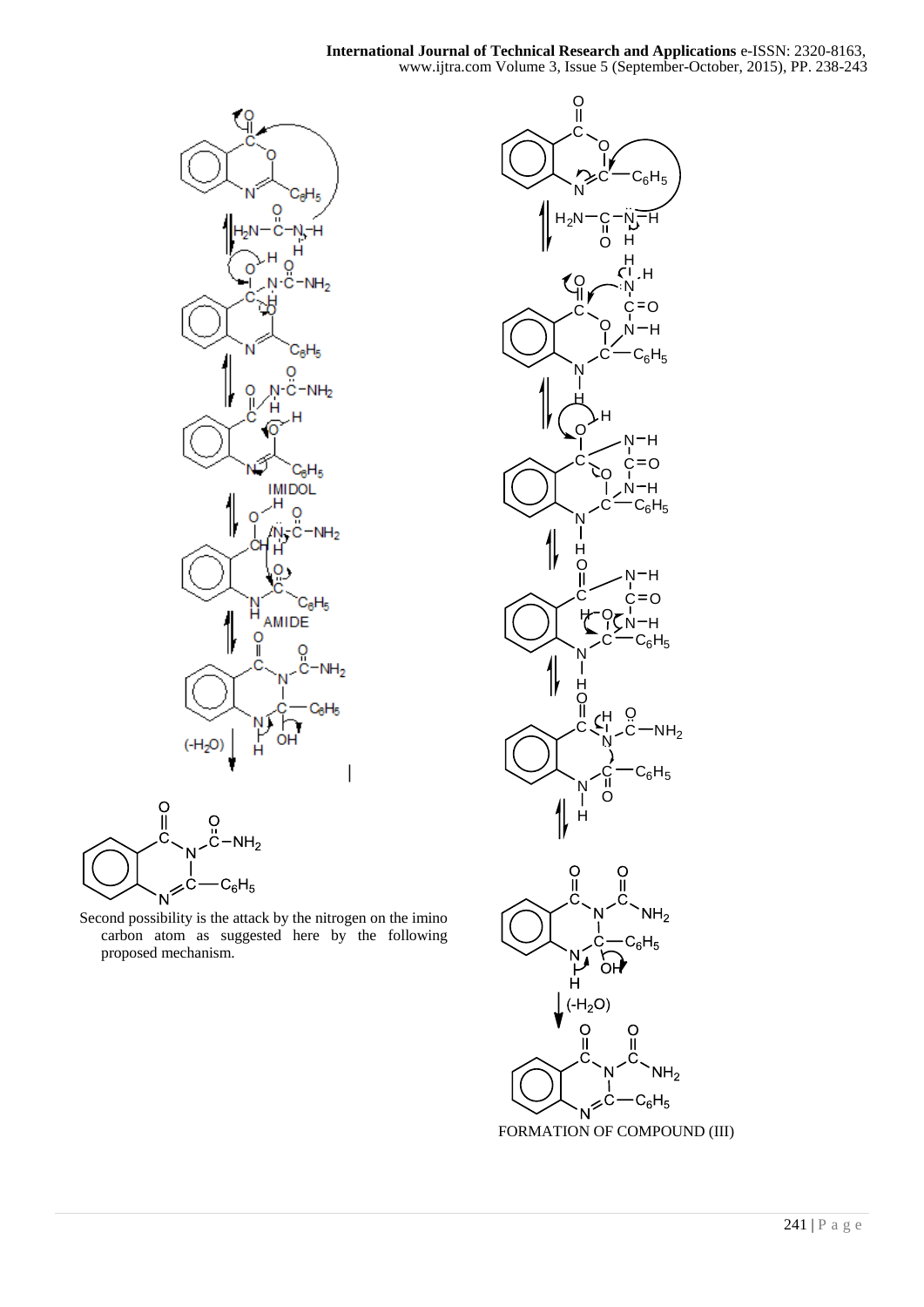



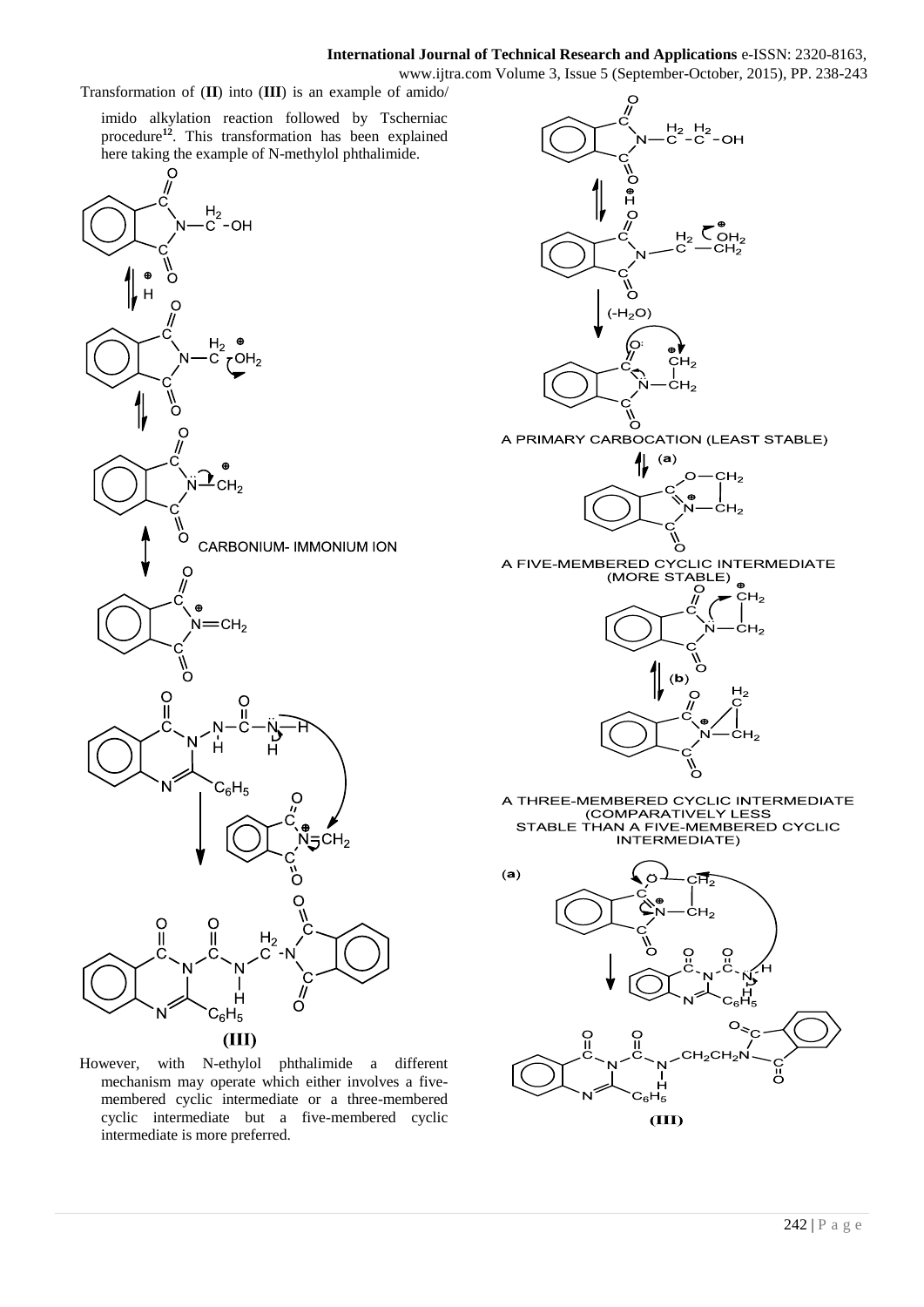## **International Journal of Technical Research and Applications** e-ISSN: 2320-8163,

www.ijtra.com Volume 3, Issue 5 (September-October, 2015), PP. 238-243

Transformation of (**II**) into (**III**) is an example of amido/

imido alkylation reaction followed by Tscherniac procedure**<sup>12</sup>**. This transformation has been explained here taking the example of N-methylol phthalimide.



 $(III)$ 

However, with N-ethylol phthalimide a different mechanism may operate which either involves a fivemembered cyclic intermediate or a three-membered cyclic intermediate but a five-membered cyclic intermediate is more preferred.